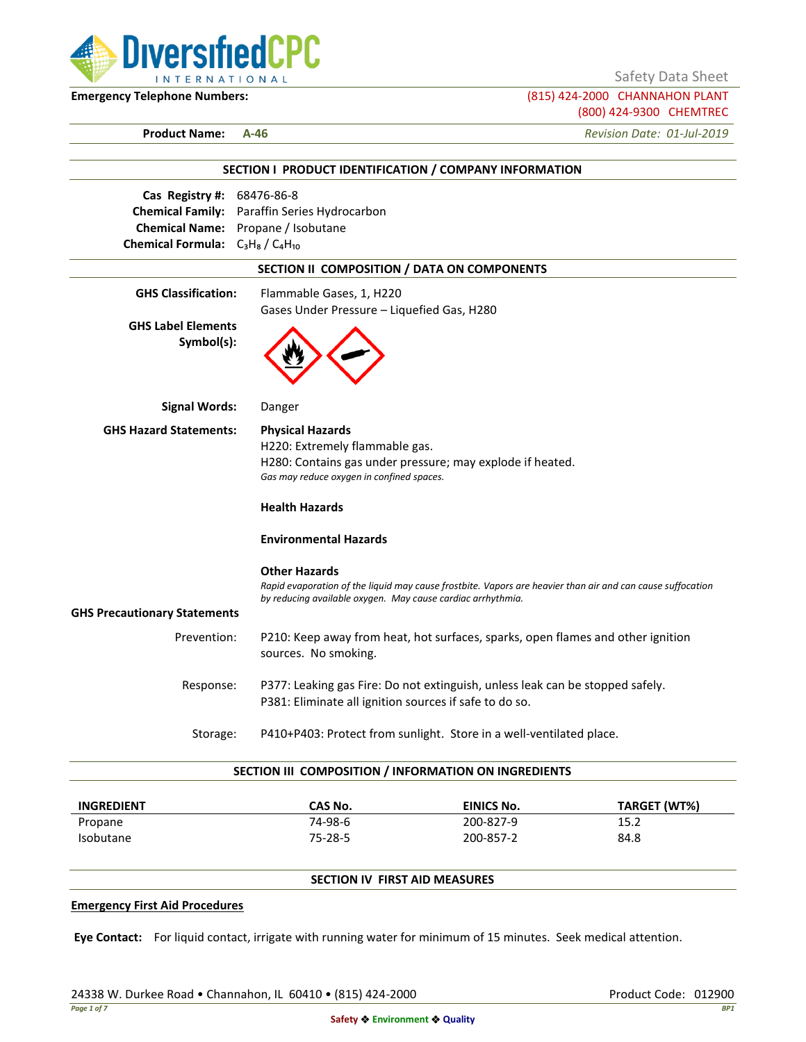

Safety Data Sheet

**Emergency Telephone Numbers:** (815) 424-2000 CHANNAHON PLANT (800) 424-9300 CHEMTREC

**Product Name: A-46** *Revision Date: 01-Jul-2019*

|                                         | SECTION I PRODUCT IDENTIFICATION / COMPANY INFORMATION                                                     |
|-----------------------------------------|------------------------------------------------------------------------------------------------------------|
| Cas Registry #: 68476-86-8              |                                                                                                            |
|                                         | Chemical Family: Paraffin Series Hydrocarbon                                                               |
|                                         | Chemical Name: Propane / Isobutane                                                                         |
| Chemical Formula: $C_3H_8/C_4H_{10}$    |                                                                                                            |
|                                         | SECTION II COMPOSITION / DATA ON COMPONENTS                                                                |
| <b>GHS Classification:</b>              | Flammable Gases, 1, H220                                                                                   |
|                                         | Gases Under Pressure - Liquefied Gas, H280                                                                 |
| <b>GHS Label Elements</b><br>Symbol(s): |                                                                                                            |
| <b>Signal Words:</b>                    | Danger                                                                                                     |
| <b>GHS Hazard Statements:</b>           | <b>Physical Hazards</b>                                                                                    |
|                                         | H220: Extremely flammable gas.                                                                             |
|                                         | H280: Contains gas under pressure; may explode if heated.<br>Gas may reduce oxygen in confined spaces.     |
|                                         | <b>Health Hazards</b>                                                                                      |
|                                         | <b>Environmental Hazards</b>                                                                               |
|                                         | <b>Other Hazards</b>                                                                                       |
|                                         | Rapid evaporation of the liquid may cause frostbite. Vapors are heavier than air and can cause suffocation |
|                                         | by reducing available oxygen. May cause cardiac arrhythmia.                                                |
| <b>GHS Precautionary Statements</b>     |                                                                                                            |
| Prevention:                             | P210: Keep away from heat, hot surfaces, sparks, open flames and other ignition<br>sources. No smoking.    |
| Response:                               | P377: Leaking gas Fire: Do not extinguish, unless leak can be stopped safely.                              |
|                                         | P381: Eliminate all ignition sources if safe to do so.                                                     |
|                                         | P410+P403: Protect from sunlight. Store in a well-ventilated place.<br>Storage:                            |

| <b>INGREDIENT</b> | CAS No. | <b>EINICS No.</b> | TARGET (WT%) |
|-------------------|---------|-------------------|--------------|
| Propane           | 74-98-6 | 200-827-9         | 15.2         |
| <b>Isobutane</b>  | 75-28-5 | 200-857-2         | 84.8         |

# **SECTION IV FIRST AID MEASURES**

#### **Emergency First Aid Procedures**

**Eye Contact:** For liquid contact, irrigate with running water for minimum of 15 minutes. Seek medical attention.

24338 W. Durkee Road • Channahon, IL 60410 • (815) 424-2000 Product Code: 012900 Product Code: 012900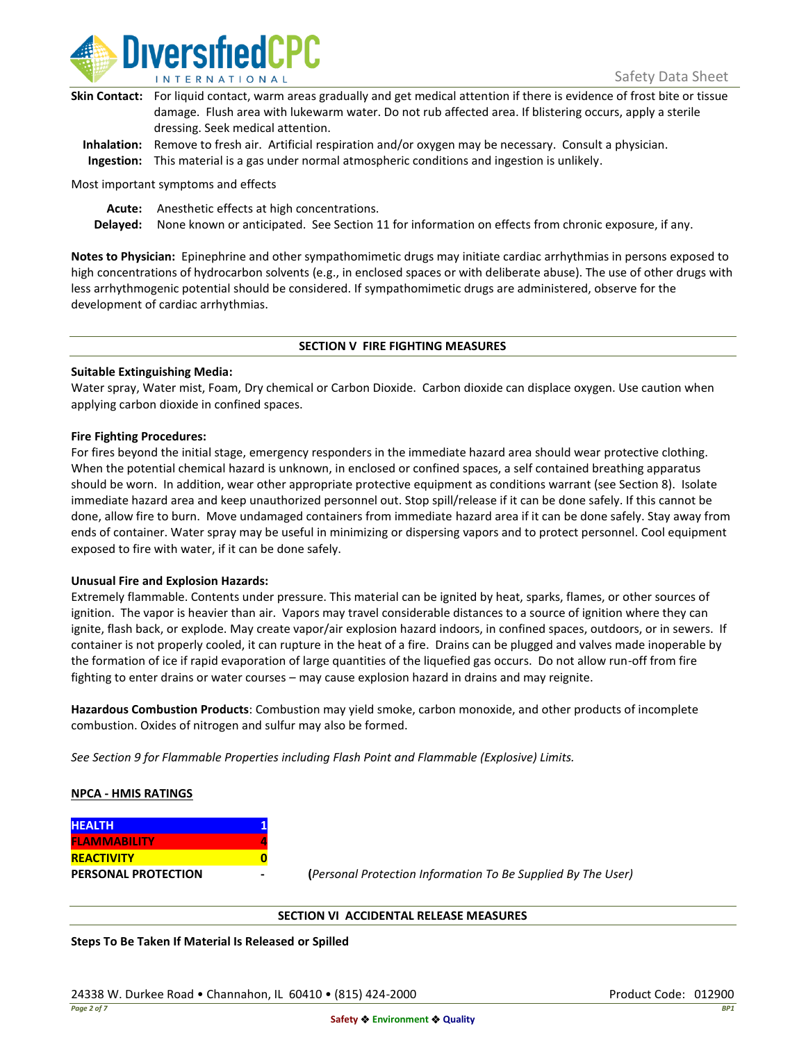

| Skin Contact: For liquid contact, warm areas gradually and get medical attention if there is evidence of frost bite or tissue |
|-------------------------------------------------------------------------------------------------------------------------------|
| damage. Flush area with lukewarm water. Do not rub affected area. If blistering occurs, apply a sterile                       |
| dressing. Seek medical attention.                                                                                             |
|                                                                                                                               |

**Inhalation:** Remove to fresh air. Artificial respiration and/or oxygen may be necessary. Consult a physician. **Ingestion:** This material is a gas under normal atmospheric conditions and ingestion is unlikely.

Most important symptoms and effects

**Acute:** Anesthetic effects at high concentrations.

**Delayed:** None known or anticipated. See Section 11 for information on effects from chronic exposure, if any.

**Notes to Physician:** Epinephrine and other sympathomimetic drugs may initiate cardiac arrhythmias in persons exposed to high concentrations of hydrocarbon solvents (e.g., in enclosed spaces or with deliberate abuse). The use of other drugs with less arrhythmogenic potential should be considered. If sympathomimetic drugs are administered, observe for the development of cardiac arrhythmias.

### **SECTION V FIRE FIGHTING MEASURES**

## **Suitable Extinguishing Media:**

Water spray, Water mist, Foam, Dry chemical or Carbon Dioxide. Carbon dioxide can displace oxygen. Use caution when applying carbon dioxide in confined spaces.

## **Fire Fighting Procedures:**

For fires beyond the initial stage, emergency responders in the immediate hazard area should wear protective clothing. When the potential chemical hazard is unknown, in enclosed or confined spaces, a self contained breathing apparatus should be worn. In addition, wear other appropriate protective equipment as conditions warrant (see Section 8). Isolate immediate hazard area and keep unauthorized personnel out. Stop spill/release if it can be done safely. If this cannot be done, allow fire to burn. Move undamaged containers from immediate hazard area if it can be done safely. Stay away from ends of container. Water spray may be useful in minimizing or dispersing vapors and to protect personnel. Cool equipment exposed to fire with water, if it can be done safely.

### **Unusual Fire and Explosion Hazards:**

Extremely flammable. Contents under pressure. This material can be ignited by heat, sparks, flames, or other sources of ignition. The vapor is heavier than air. Vapors may travel considerable distances to a source of ignition where they can ignite, flash back, or explode. May create vapor/air explosion hazard indoors, in confined spaces, outdoors, or in sewers. If container is not properly cooled, it can rupture in the heat of a fire. Drains can be plugged and valves made inoperable by the formation of ice if rapid evaporation of large quantities of the liquefied gas occurs. Do not allow run-off from fire fighting to enter drains or water courses – may cause explosion hazard in drains and may reignite.

**Hazardous Combustion Products**: Combustion may yield smoke, carbon monoxide, and other products of incomplete combustion. Oxides of nitrogen and sulfur may also be formed.

*See Section 9 for Flammable Properties including Flash Point and Flammable (Explosive) Limits.*

# **NPCA - HMIS RATINGS**

| <b>HEALTH</b>              |  |
|----------------------------|--|
| <b>FLAMMABILITY</b>        |  |
| <b>REACTIVITY</b>          |  |
| <b>PERSONAL PROTECTION</b> |  |

**PERSONAL PROTECTION - (***Personal Protection Information To Be Supplied By The User)*

### **SECTION VI ACCIDENTAL RELEASE MEASURES**

**Steps To Be Taken If Material Is Released or Spilled**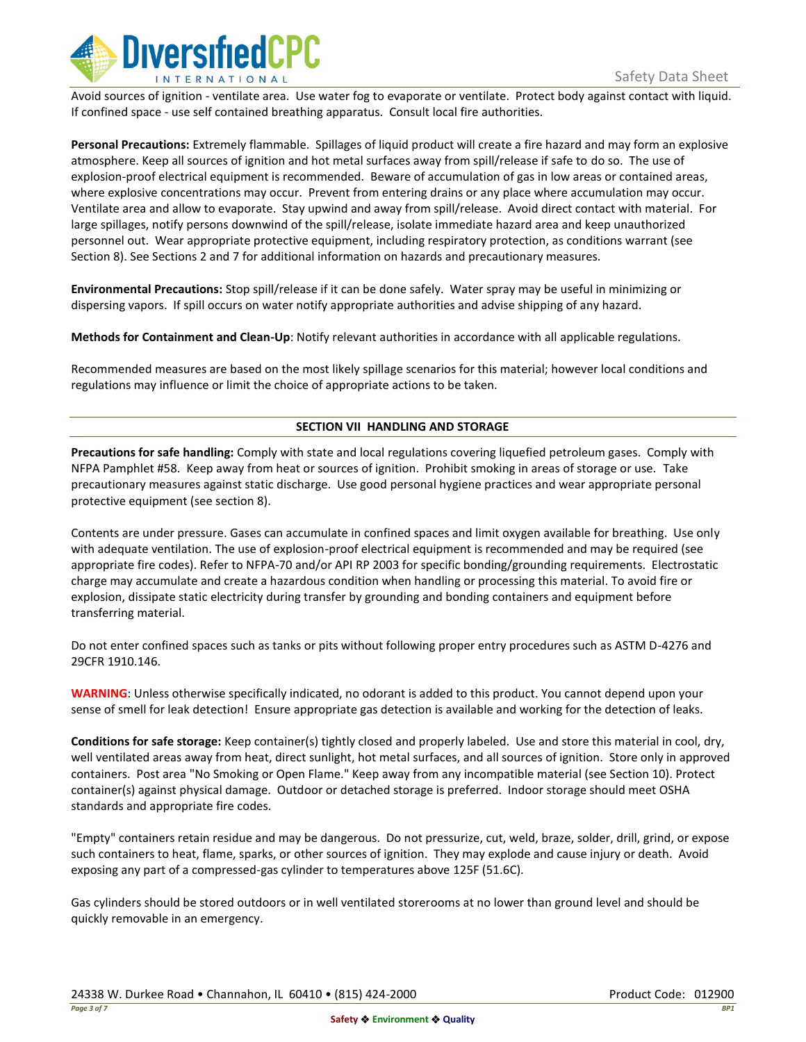

Avoid sources of ignition - ventilate area. Use water fog to evaporate or ventilate. Protect body against contact with liquid. If confined space - use self contained breathing apparatus. Consult local fire authorities.

**Personal Precautions:** Extremely flammable. Spillages of liquid product will create a fire hazard and may form an explosive atmosphere. Keep all sources of ignition and hot metal surfaces away from spill/release if safe to do so. The use of explosion-proof electrical equipment is recommended. Beware of accumulation of gas in low areas or contained areas, where explosive concentrations may occur. Prevent from entering drains or any place where accumulation may occur. Ventilate area and allow to evaporate. Stay upwind and away from spill/release. Avoid direct contact with material. For large spillages, notify persons downwind of the spill/release, isolate immediate hazard area and keep unauthorized personnel out. Wear appropriate protective equipment, including respiratory protection, as conditions warrant (see Section 8). See Sections 2 and 7 for additional information on hazards and precautionary measures.

**Environmental Precautions:** Stop spill/release if it can be done safely. Water spray may be useful in minimizing or dispersing vapors. If spill occurs on water notify appropriate authorities and advise shipping of any hazard.

**Methods for Containment and Clean-Up**: Notify relevant authorities in accordance with all applicable regulations.

Recommended measures are based on the most likely spillage scenarios for this material; however local conditions and regulations may influence or limit the choice of appropriate actions to be taken.

## **SECTION VII HANDLING AND STORAGE**

**Precautions for safe handling:** Comply with state and local regulations covering liquefied petroleum gases. Comply with NFPA Pamphlet #58. Keep away from heat or sources of ignition. Prohibit smoking in areas of storage or use. Take precautionary measures against static discharge. Use good personal hygiene practices and wear appropriate personal protective equipment (see section 8).

Contents are under pressure. Gases can accumulate in confined spaces and limit oxygen available for breathing. Use only with adequate ventilation. The use of explosion-proof electrical equipment is recommended and may be required (see appropriate fire codes). Refer to NFPA-70 and/or API RP 2003 for specific bonding/grounding requirements. Electrostatic charge may accumulate and create a hazardous condition when handling or processing this material. To avoid fire or explosion, dissipate static electricity during transfer by grounding and bonding containers and equipment before transferring material.

Do not enter confined spaces such as tanks or pits without following proper entry procedures such as ASTM D-4276 and 29CFR 1910.146.

**WARNING**: Unless otherwise specifically indicated, no odorant is added to this product. You cannot depend upon your sense of smell for leak detection! Ensure appropriate gas detection is available and working for the detection of leaks.

**Conditions for safe storage:** Keep container(s) tightly closed and properly labeled. Use and store this material in cool, dry, well ventilated areas away from heat, direct sunlight, hot metal surfaces, and all sources of ignition. Store only in approved containers. Post area "No Smoking or Open Flame." Keep away from any incompatible material (see Section 10). Protect container(s) against physical damage. Outdoor or detached storage is preferred. Indoor storage should meet OSHA standards and appropriate fire codes.

"Empty" containers retain residue and may be dangerous. Do not pressurize, cut, weld, braze, solder, drill, grind, or expose such containers to heat, flame, sparks, or other sources of ignition. They may explode and cause injury or death. Avoid exposing any part of a compressed-gas cylinder to temperatures above 125F (51.6C).

Gas cylinders should be stored outdoors or in well ventilated storerooms at no lower than ground level and should be quickly removable in an emergency.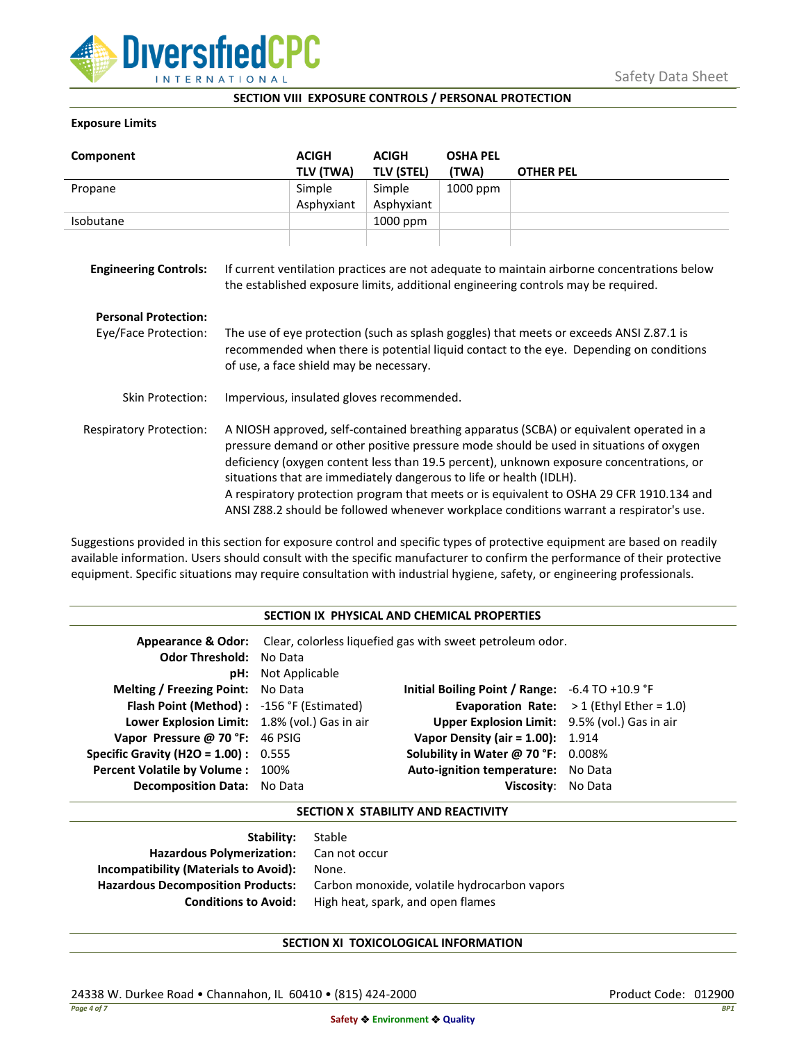

### **SECTION VIII EXPOSURE CONTROLS / PERSONAL PROTECTION**

## **Exposure Limits**

| Component                      |                                                                                                                                                                                                                                                                                                                                                                                                                                                                                                                                            | <b>ACIGH</b>        | <b>ACIGH</b>                | <b>OSHA PEL</b>   |                  |
|--------------------------------|--------------------------------------------------------------------------------------------------------------------------------------------------------------------------------------------------------------------------------------------------------------------------------------------------------------------------------------------------------------------------------------------------------------------------------------------------------------------------------------------------------------------------------------------|---------------------|-----------------------------|-------------------|------------------|
| Propane                        |                                                                                                                                                                                                                                                                                                                                                                                                                                                                                                                                            | TLV (TWA)<br>Simple | <b>TLV (STEL)</b><br>Simple | (TWA)<br>1000 ppm | <b>OTHER PEL</b> |
|                                |                                                                                                                                                                                                                                                                                                                                                                                                                                                                                                                                            | Asphyxiant          | Asphyxiant                  |                   |                  |
| Isobutane                      |                                                                                                                                                                                                                                                                                                                                                                                                                                                                                                                                            |                     | 1000 ppm                    |                   |                  |
| <b>Engineering Controls:</b>   | If current ventilation practices are not adequate to maintain airborne concentrations below<br>the established exposure limits, additional engineering controls may be required.                                                                                                                                                                                                                                                                                                                                                           |                     |                             |                   |                  |
| <b>Personal Protection:</b>    |                                                                                                                                                                                                                                                                                                                                                                                                                                                                                                                                            |                     |                             |                   |                  |
| Eye/Face Protection:           | The use of eye protection (such as splash goggles) that meets or exceeds ANSI Z.87.1 is<br>recommended when there is potential liquid contact to the eye. Depending on conditions<br>of use, a face shield may be necessary.                                                                                                                                                                                                                                                                                                               |                     |                             |                   |                  |
| <b>Skin Protection:</b>        | Impervious, insulated gloves recommended.                                                                                                                                                                                                                                                                                                                                                                                                                                                                                                  |                     |                             |                   |                  |
| <b>Respiratory Protection:</b> | A NIOSH approved, self-contained breathing apparatus (SCBA) or equivalent operated in a<br>pressure demand or other positive pressure mode should be used in situations of oxygen<br>deficiency (oxygen content less than 19.5 percent), unknown exposure concentrations, or<br>situations that are immediately dangerous to life or health (IDLH).<br>A respiratory protection program that meets or is equivalent to OSHA 29 CFR 1910.134 and<br>ANSI Z88.2 should be followed whenever workplace conditions warrant a respirator's use. |                     |                             |                   |                  |

Suggestions provided in this section for exposure control and specific types of protective equipment are based on readily available information. Users should consult with the specific manufacturer to confirm the performance of their protective equipment. Specific situations may require consultation with industrial hygiene, safety, or engineering professionals.

### **SECTION IX PHYSICAL AND CHEMICAL PROPERTIES**

| <b>Odor Threshold: No Data</b>                | <b>pH:</b> Not Applicable | <b>Appearance &amp; Odor:</b> Clear, colorless liquefied gas with sweet petroleum odor. |                                                   |
|-----------------------------------------------|---------------------------|-----------------------------------------------------------------------------------------|---------------------------------------------------|
| <b>Melting / Freezing Point:</b> No Data      |                           | Initial Boiling Point / Range: $-6.4$ TO $+10.9$ °F                                     |                                                   |
| Flash Point (Method): -156 °F (Estimated)     |                           |                                                                                         | <b>Evaporation Rate:</b> $>1$ (Ethyl Ether = 1.0) |
| Lower Explosion Limit: 1.8% (vol.) Gas in air |                           | Upper Explosion Limit: 9.5% (vol.) Gas in air                                           |                                                   |
| Vapor Pressure @ 70 °F: 46 PSIG               |                           | <b>Vapor Density (air = 1.00):</b> 1.914                                                |                                                   |
| <b>Specific Gravity (H2O = 1.00):</b> $0.555$ |                           | Solubility in Water @ 70 °F: 0.008%                                                     |                                                   |
| Percent Volatile by Volume: 100%              |                           | Auto-ignition temperature: No Data                                                      |                                                   |
| <b>Decomposition Data:</b> No Data            |                           | Viscosity: No Data                                                                      |                                                   |

### **SECTION X STABILITY AND REACTIVITY**

| Stable                                       |
|----------------------------------------------|
| Hazardous Polymerization: Can not occur      |
| None.                                        |
| Carbon monoxide, volatile hydrocarbon vapors |
| High heat, spark, and open flames            |
|                                              |

# **SECTION XI TOXICOLOGICAL INFORMATION**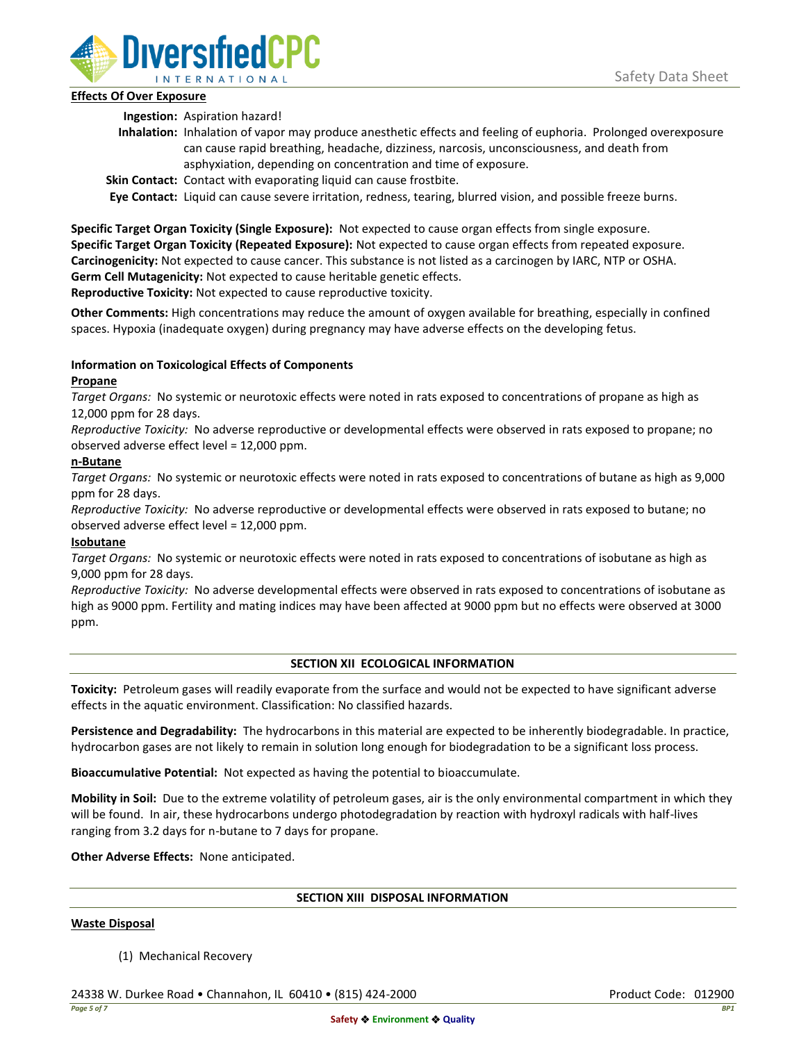

## **Effects Of Over Exposure**

**Ingestion:** Aspiration hazard!

- **Inhalation:** Inhalation of vapor may produce anesthetic effects and feeling of euphoria. Prolonged overexposure can cause rapid breathing, headache, dizziness, narcosis, unconsciousness, and death from asphyxiation, depending on concentration and time of exposure.
- **Skin Contact:** Contact with evaporating liquid can cause frostbite.

**Eye Contact:** Liquid can cause severe irritation, redness, tearing, blurred vision, and possible freeze burns.

**Specific Target Organ Toxicity (Single Exposure):** Not expected to cause organ effects from single exposure. **Specific Target Organ Toxicity (Repeated Exposure):** Not expected to cause organ effects from repeated exposure. **Carcinogenicity:** Not expected to cause cancer. This substance is not listed as a carcinogen by IARC, NTP or OSHA. **Germ Cell Mutagenicity:** Not expected to cause heritable genetic effects.

**Reproductive Toxicity:** Not expected to cause reproductive toxicity.

**Other Comments:** High concentrations may reduce the amount of oxygen available for breathing, especially in confined spaces. Hypoxia (inadequate oxygen) during pregnancy may have adverse effects on the developing fetus.

# **Information on Toxicological Effects of Components**

## **Propane**

*Target Organs:* No systemic or neurotoxic effects were noted in rats exposed to concentrations of propane as high as 12,000 ppm for 28 days.

*Reproductive Toxicity:* No adverse reproductive or developmental effects were observed in rats exposed to propane; no observed adverse effect level = 12,000 ppm.

## **n-Butane**

*Target Organs:* No systemic or neurotoxic effects were noted in rats exposed to concentrations of butane as high as 9,000 ppm for 28 days.

*Reproductive Toxicity:* No adverse reproductive or developmental effects were observed in rats exposed to butane; no observed adverse effect level = 12,000 ppm.

# **Isobutane**

*Target Organs:* No systemic or neurotoxic effects were noted in rats exposed to concentrations of isobutane as high as 9,000 ppm for 28 days.

*Reproductive Toxicity:* No adverse developmental effects were observed in rats exposed to concentrations of isobutane as high as 9000 ppm. Fertility and mating indices may have been affected at 9000 ppm but no effects were observed at 3000 ppm.

### **SECTION XII ECOLOGICAL INFORMATION**

**Toxicity:** Petroleum gases will readily evaporate from the surface and would not be expected to have significant adverse effects in the aquatic environment. Classification: No classified hazards.

**Persistence and Degradability:** The hydrocarbons in this material are expected to be inherently biodegradable. In practice, hydrocarbon gases are not likely to remain in solution long enough for biodegradation to be a significant loss process.

**Bioaccumulative Potential:** Not expected as having the potential to bioaccumulate.

**Mobility in Soil:** Due to the extreme volatility of petroleum gases, air is the only environmental compartment in which they will be found. In air, these hydrocarbons undergo photodegradation by reaction with hydroxyl radicals with half-lives ranging from 3.2 days for n-butane to 7 days for propane.

**Other Adverse Effects:** None anticipated.

### **SECTION XIII DISPOSAL INFORMATION**

### **Waste Disposal**

(1) Mechanical Recovery

24338 W. Durkee Road • Channahon, IL 60410 • (815) 424-2000 Product Code: 012900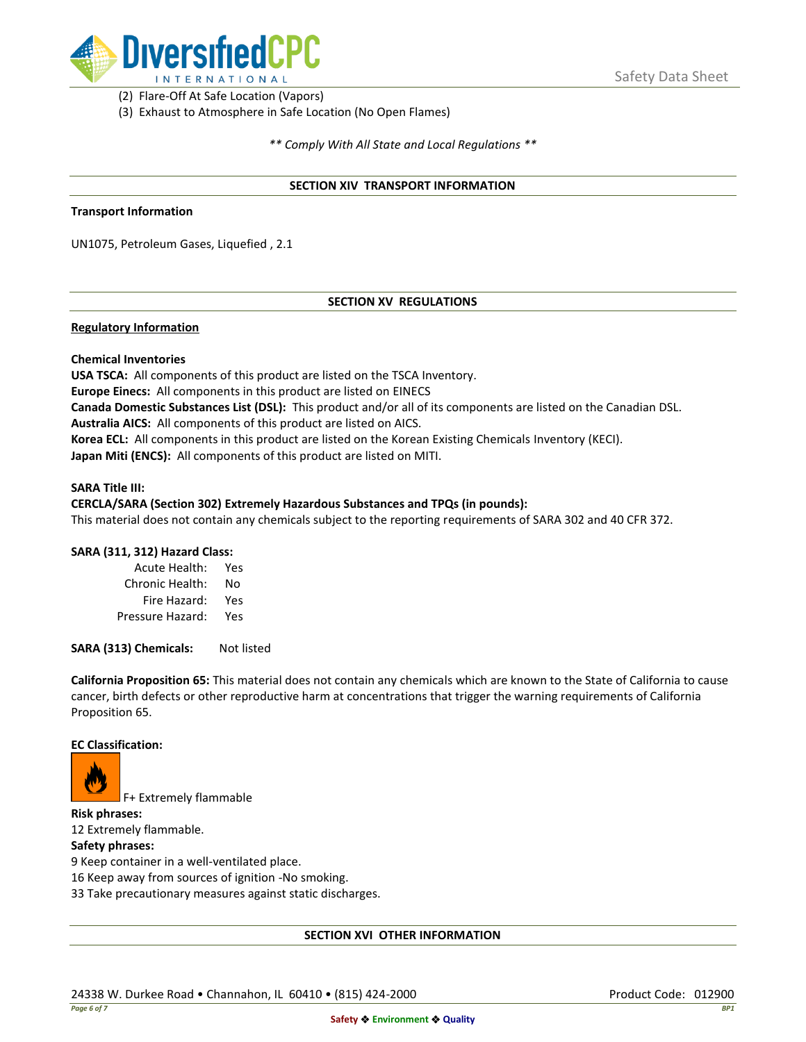

(2) Flare-Off At Safe Location (Vapors)

(3) Exhaust to Atmosphere in Safe Location (No Open Flames)

*\*\* Comply With All State and Local Regulations \*\**

### **SECTION XIV TRANSPORT INFORMATION**

#### **Transport Information**

UN1075, Petroleum Gases, Liquefied , 2.1

## **SECTION XV REGULATIONS**

### **Regulatory Information**

### **Chemical Inventories**

**USA TSCA:** All components of this product are listed on the TSCA Inventory. **Europe Einecs:** All components in this product are listed on EINECS **Canada Domestic Substances List (DSL):** This product and/or all of its components are listed on the Canadian DSL. **Australia AICS:** All components of this product are listed on AICS. **Korea ECL:** All components in this product are listed on the Korean Existing Chemicals Inventory (KECI). **Japan Miti (ENCS):** All components of this product are listed on MITI.

#### **SARA Title III:**

### **CERCLA/SARA (Section 302) Extremely Hazardous Substances and TPQs (in pounds):**

This material does not contain any chemicals subject to the reporting requirements of SARA 302 and 40 CFR 372.

### **SARA (311, 312) Hazard Class:**

| Acute Health:    | Yes |
|------------------|-----|
| Chronic Health:  | No  |
| Fire Hazard:     | Yes |
| Pressure Hazard: | Yes |

**SARA (313) Chemicals:** Not listed

**California Proposition 65:** This material does not contain any chemicals which are known to the State of California to cause cancer, birth defects or other reproductive harm at concentrations that trigger the warning requirements of California Proposition 65.

#### **EC Classification:**



F+ Extremely flammable

**Risk phrases:** 12 Extremely flammable.

## **Safety phrases:**

9 Keep container in a well-ventilated place.

16 Keep away from sources of ignition -No smoking.

33 Take precautionary measures against static discharges.

### **SECTION XVI OTHER INFORMATION**